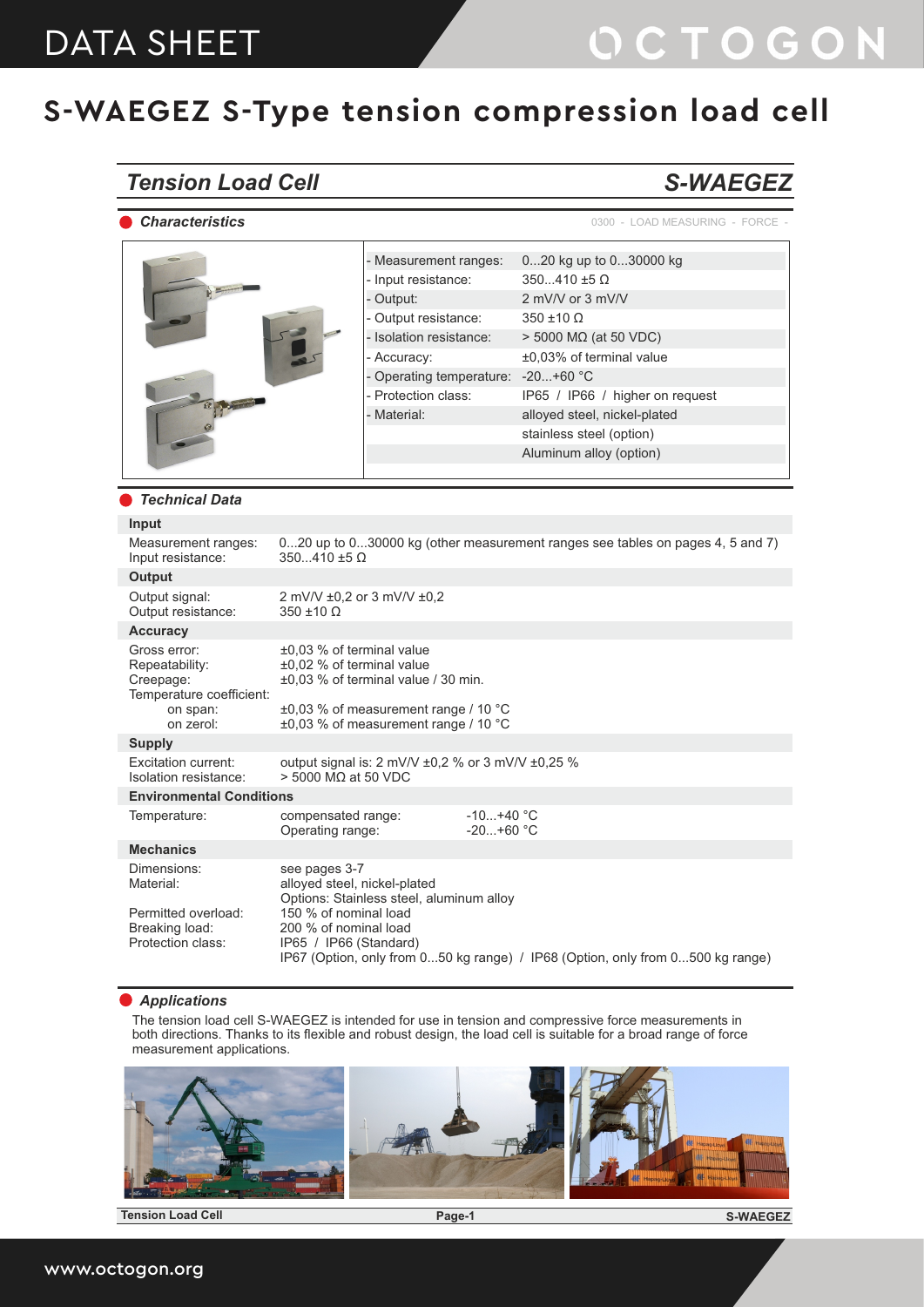### *Tension Load Cell*

*Characteristics*

### *S-WAEGEZ*

0300 - LOAD MEASURING - FORCE -

|                                                                                                                                                                                                                                                                                                                                                                                                                                                                                                                                                                                                                                            | - Measurement ranges:<br>- Input resistance:<br>- Output:<br>- Output resistance:<br>- Isolation resistance:<br>- Accuracy: | 020 kg up to 030000 kg<br>$350410 \pm 5 \Omega$<br>2 mV/V or 3 mV/V<br>$350 \pm 10 \Omega$<br>$>$ 5000 M $\Omega$ (at 50 VDC)<br>±0,03% of terminal value                                                                                                                                               |
|--------------------------------------------------------------------------------------------------------------------------------------------------------------------------------------------------------------------------------------------------------------------------------------------------------------------------------------------------------------------------------------------------------------------------------------------------------------------------------------------------------------------------------------------------------------------------------------------------------------------------------------------|-----------------------------------------------------------------------------------------------------------------------------|---------------------------------------------------------------------------------------------------------------------------------------------------------------------------------------------------------------------------------------------------------------------------------------------------------|
|                                                                                                                                                                                                                                                                                                                                                                                                                                                                                                                                                                                                                                            | - Protection class:<br>- Material:                                                                                          | IP65 / IP66 / higher on request<br>alloyed steel, nickel-plated<br>stainless steel (option)<br>Aluminum alloy (option)                                                                                                                                                                                  |
|                                                                                                                                                                                                                                                                                                                                                                                                                                                                                                                                                                                                                                            |                                                                                                                             |                                                                                                                                                                                                                                                                                                         |
|                                                                                                                                                                                                                                                                                                                                                                                                                                                                                                                                                                                                                                            |                                                                                                                             |                                                                                                                                                                                                                                                                                                         |
|                                                                                                                                                                                                                                                                                                                                                                                                                                                                                                                                                                                                                                            |                                                                                                                             | 020 up to 030000 kg (other measurement ranges see tables on pages 4, 5 and 7)                                                                                                                                                                                                                           |
|                                                                                                                                                                                                                                                                                                                                                                                                                                                                                                                                                                                                                                            |                                                                                                                             |                                                                                                                                                                                                                                                                                                         |
| $350 \pm 10 \Omega$                                                                                                                                                                                                                                                                                                                                                                                                                                                                                                                                                                                                                        |                                                                                                                             |                                                                                                                                                                                                                                                                                                         |
|                                                                                                                                                                                                                                                                                                                                                                                                                                                                                                                                                                                                                                            |                                                                                                                             |                                                                                                                                                                                                                                                                                                         |
|                                                                                                                                                                                                                                                                                                                                                                                                                                                                                                                                                                                                                                            |                                                                                                                             |                                                                                                                                                                                                                                                                                                         |
| <b>Technical Data</b><br>Measurement ranges:<br>$350410 \pm 5 \Omega$<br>Input resistance:<br>2 mV/V ±0,2 or 3 mV/V ±0,2<br>Output resistance:<br>±0,03 % of terminal value<br>±0,02 % of terminal value<br>±0.03 % of terminal value / 30 min.<br>Temperature coefficient:<br>on span:<br>on zerol:<br><b>Excitation current:</b><br>$>$ 5000 MQ at 50 VDC<br>Isolation resistance:<br><b>Environmental Conditions</b><br>compensated range:<br>Operating range:<br>see pages 3-7<br>alloyed steel, nickel-plated<br>150 % of nominal load<br>Permitted overload:<br>200 % of nominal load<br>Protection class:<br>IP65 / IP66 (Standard) |                                                                                                                             |                                                                                                                                                                                                                                                                                                         |
|                                                                                                                                                                                                                                                                                                                                                                                                                                                                                                                                                                                                                                            |                                                                                                                             |                                                                                                                                                                                                                                                                                                         |
|                                                                                                                                                                                                                                                                                                                                                                                                                                                                                                                                                                                                                                            |                                                                                                                             |                                                                                                                                                                                                                                                                                                         |
|                                                                                                                                                                                                                                                                                                                                                                                                                                                                                                                                                                                                                                            |                                                                                                                             |                                                                                                                                                                                                                                                                                                         |
|                                                                                                                                                                                                                                                                                                                                                                                                                                                                                                                                                                                                                                            | $-10+40 °C$<br>$-20+60$ °C                                                                                                  |                                                                                                                                                                                                                                                                                                         |
|                                                                                                                                                                                                                                                                                                                                                                                                                                                                                                                                                                                                                                            |                                                                                                                             |                                                                                                                                                                                                                                                                                                         |
|                                                                                                                                                                                                                                                                                                                                                                                                                                                                                                                                                                                                                                            |                                                                                                                             |                                                                                                                                                                                                                                                                                                         |
|                                                                                                                                                                                                                                                                                                                                                                                                                                                                                                                                                                                                                                            |                                                                                                                             | - Operating temperature: - 20 +60 °C<br>±0,03 % of measurement range / 10 °C<br>±0,03 % of measurement range / 10 °C<br>output signal is: 2 mV/V ±0,2 % or 3 mV/V ±0,25 %<br>Options: Stainless steel, aluminum alloy<br>IP67 (Option, only from 050 kg range) / IP68 (Option, only from 0500 kg range) |

#### *Applications*

The tension load cell S-WAEGEZ is intended for use in tension and compressive force measurements in both directions. Thanks to its flexible and robust design, the load cell is suitable for a broad range of force measurement applications.



**Tension Load Cell Page-1** 

**S-WAEGEZ**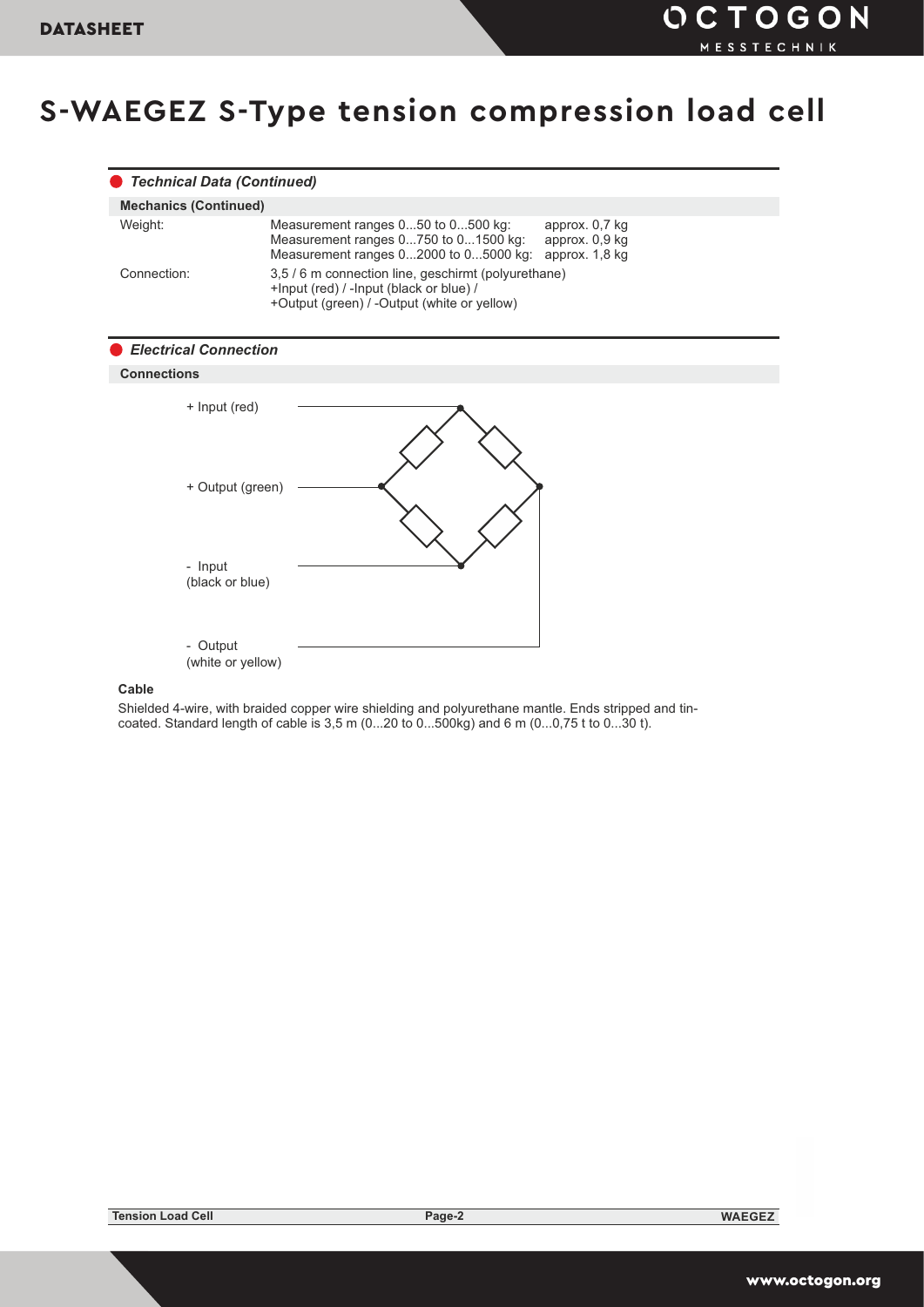|                    | <b>Technical Data (Continued)</b>                                                                                                                                         |
|--------------------|---------------------------------------------------------------------------------------------------------------------------------------------------------------------------|
|                    | <b>Mechanics (Continued)</b>                                                                                                                                              |
| Weight:            | Measurement ranges 050 to 0500 kg:<br>approx. 0,7 kg<br>Measurement ranges 0750 to 01500 kg:<br>approx. 0,9 kg<br>Measurement ranges 02000 to 05000 kg:<br>approx. 1,8 kg |
| Connection:        | 3,5 / 6 m connection line, geschirmt (polyurethane)<br>+Input (red) / -Input (black or blue) /<br>+Output (green) / -Output (white or yellow)                             |
|                    | <b>Electrical Connection</b>                                                                                                                                              |
| <b>Connections</b> |                                                                                                                                                                           |
|                    | + Input (red)                                                                                                                                                             |
|                    | + Output (green)                                                                                                                                                          |
|                    | - Input<br>(black or blue)                                                                                                                                                |
|                    | - Output<br>(white or yellow)                                                                                                                                             |

### **Cable**

Shielded 4-wire, with braided copper wire shielding and polyurethane mantle. Ends stripped and tincoated. Standard length of cable is 3,5 m (0...20 to 0...500kg) and 6 m (0...0,75 t to 0...30 t).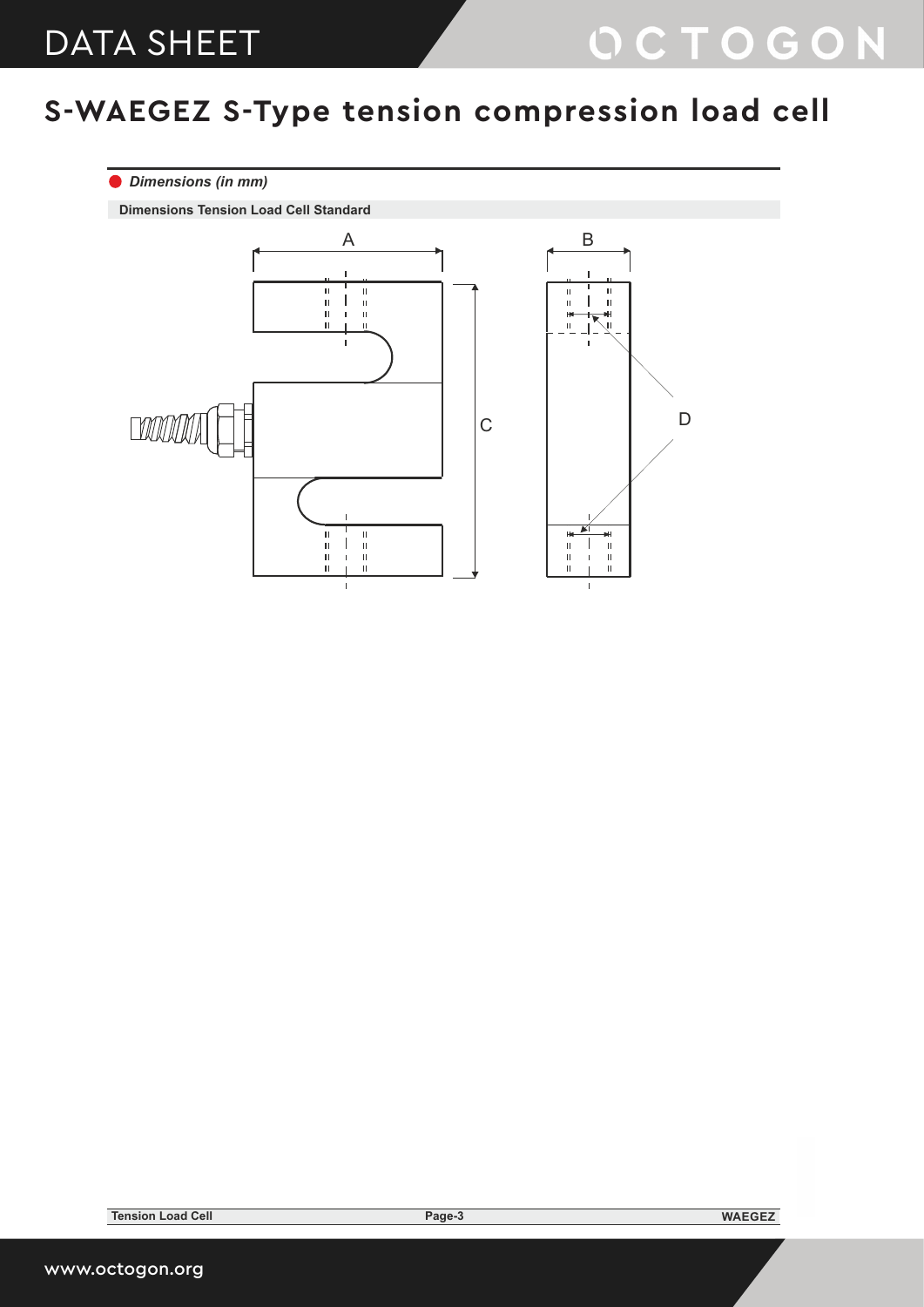### *Dimensions (in mm)*

**Dimensions Tension Load Cell Standard**

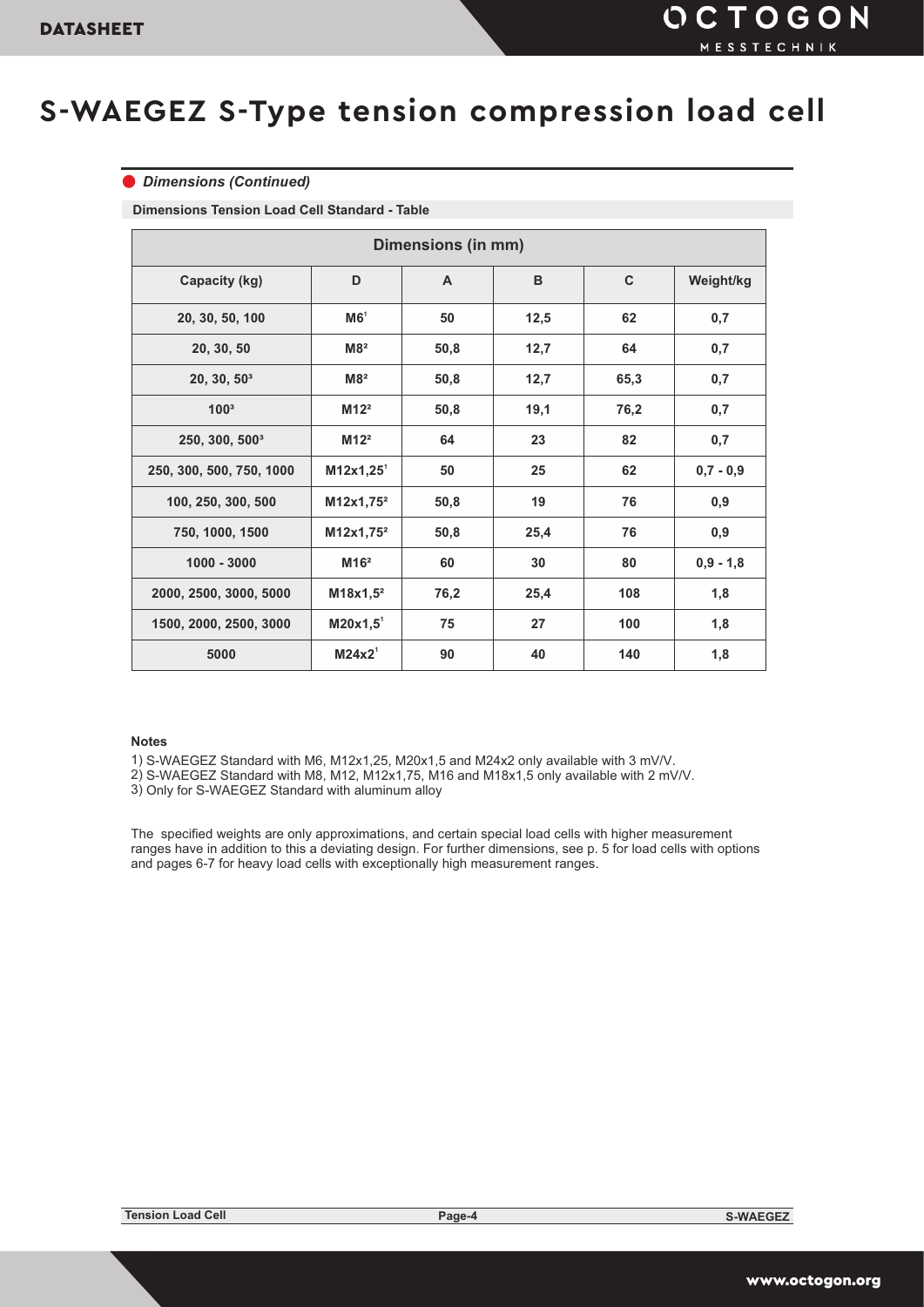#### *Dimensions (Continued)*

**Dimensions Tension Load Cell Standard - Table**

| <b>Dimensions (in mm)</b>  |                         |              |              |           |             |  |  |  |  |
|----------------------------|-------------------------|--------------|--------------|-----------|-------------|--|--|--|--|
| Capacity (kg)              | D                       | $\mathsf{A}$ | $\mathbf{C}$ | Weight/kg |             |  |  |  |  |
| 20, 30, 50, 100            | MG <sup>1</sup>         | 50           | 12,5         | 62        | 0,7         |  |  |  |  |
| 20, 30, 50                 | M8 <sup>2</sup>         | 50,8         | 12,7         | 64        | 0,7         |  |  |  |  |
| $20, 30, 50^3$             | M8 <sup>2</sup>         | 50,8         | 12,7         | 65,3      | 0,7         |  |  |  |  |
| 100 <sup>3</sup>           | M12 <sup>2</sup>        | 50,8         | 19,1         | 76,2      | 0,7         |  |  |  |  |
| 250, 300, 500 <sup>3</sup> | M12 <sup>2</sup>        | 64           | 23           | 82        | 0,7         |  |  |  |  |
| 250, 300, 500, 750, 1000   | $M12x1,25$ <sup>1</sup> | 50           | 25           | 62        | $0,7 - 0,9$ |  |  |  |  |
| 100, 250, 300, 500         | M12x1,75 <sup>2</sup>   | 50,8         | 19           | 76        | 0,9         |  |  |  |  |
| 750, 1000, 1500            | $M12x1,75^2$            | 50,8         | 25,4         | 76        | 0,9         |  |  |  |  |
| $1000 - 3000$              | M16 <sup>2</sup>        | 60           | 30           | 80        | $0,9 - 1,8$ |  |  |  |  |
| 2000, 2500, 3000, 5000     | $M18x1,5^2$             | 76,2         | 25,4         | 108       | 1,8         |  |  |  |  |
| 1500, 2000, 2500, 3000     | $M20x1,5$ <sup>1</sup>  | 75           | 27           | 100       | 1,8         |  |  |  |  |
| 5000                       | M24x2 <sup>1</sup>      | 90           | 40           | 140       | 1,8         |  |  |  |  |

#### **Notes**

1) S-WAEGEZ Standard with M6, M12x1,25, M20x1,5 and M24x2 only available with 3 mV/V.

- 2) S-WAEGEZ Standard with M8, M12, M12x1,75, M16 and M18x1,5 only available with 2 mV/V.
- 3) Only for S-WAEGEZ Standard with aluminum alloy

The specified weights are only approximations, and certain special load cells with higher measurement ranges have in addition to this a deviating design. For further dimensions, see p. 5 for load cells with options and pages 6-7 for heavy load cells with exceptionally high measurement ranges.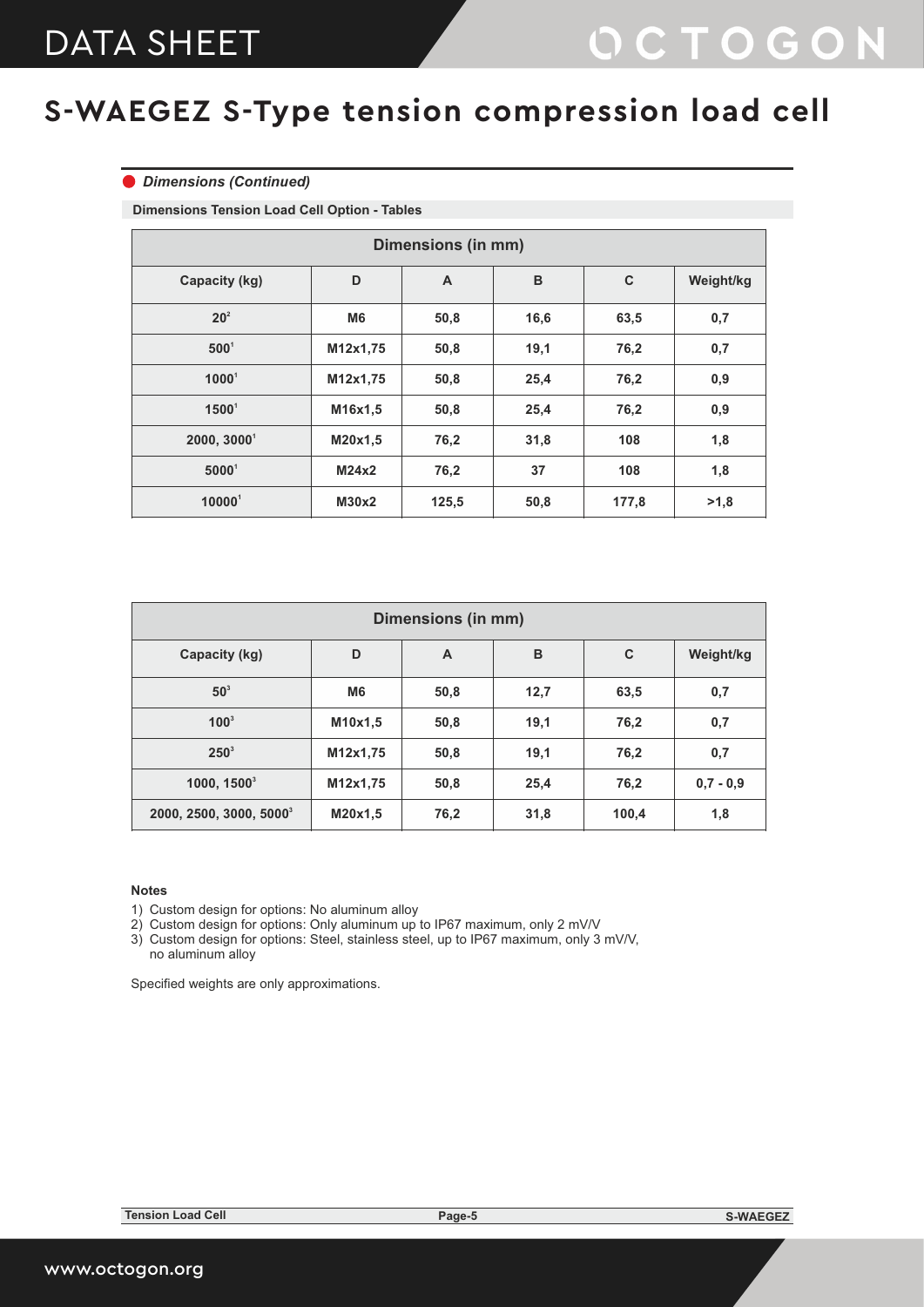#### *Dimensions (Continued)*

**Dimensions Tension Load Cell Option - Tables**

| <b>Dimensions (in mm)</b> |                |                |      |           |      |  |  |  |  |
|---------------------------|----------------|----------------|------|-----------|------|--|--|--|--|
| Capacity (kg)             | D              | $\overline{A}$ | C    | Weight/kg |      |  |  |  |  |
| 20 <sup>2</sup>           | M <sub>6</sub> | 50,8           | 16,6 | 63,5      | 0,7  |  |  |  |  |
| $500^1$                   | M12x1,75       | 50,8           | 19,1 | 76,2      | 0,7  |  |  |  |  |
| $1000^1$                  | M12x1,75       | 50,8           | 25,4 | 76,2      | 0,9  |  |  |  |  |
| $1500^1$                  | M16x1,5        | 50,8           | 25,4 | 76,2      | 0,9  |  |  |  |  |
| 2000, 30001               | M20x1,5        | 76,2           | 31,8 | 108       | 1,8  |  |  |  |  |
| $5000^1$                  | M24x2          | 76,2           | 37   | 108       | 1,8  |  |  |  |  |
| 100001                    | M30x2          | 125,5          | 50,8 | 177,8     | >1,8 |  |  |  |  |

| <b>Dimensions (in mm)</b>           |                |      |      |           |             |  |  |  |  |
|-------------------------------------|----------------|------|------|-----------|-------------|--|--|--|--|
| Capacity (kg)                       | D              | A    | C    | Weight/kg |             |  |  |  |  |
| $50^3$                              | M <sub>6</sub> | 50,8 | 12,7 | 63,5      | 0,7         |  |  |  |  |
| $100^3$                             | M10x1,5        | 50,8 | 19,1 | 76,2      | 0,7         |  |  |  |  |
| $250^3$                             | M12x1,75       | 50,8 | 19,1 | 76,2      | 0,7         |  |  |  |  |
| $1000, 1500^3$                      | M12x1,75       | 50,8 | 25,4 | 76,2      | $0,7 - 0,9$ |  |  |  |  |
| 2000, 2500, 3000, 5000 <sup>3</sup> | M20x1,5        | 76,2 | 31,8 | 100,4     | 1,8         |  |  |  |  |

#### **Notes**

1) Custom design for options: No aluminum alloy

2) Custom design for options: Only aluminum up to IP67 maximum, only 2 mV/V

3) Custom design for options: Steel, stainless steel, up to IP67 maximum, only 3 mV/V, no aluminum alloy

Specified weights are only approximations.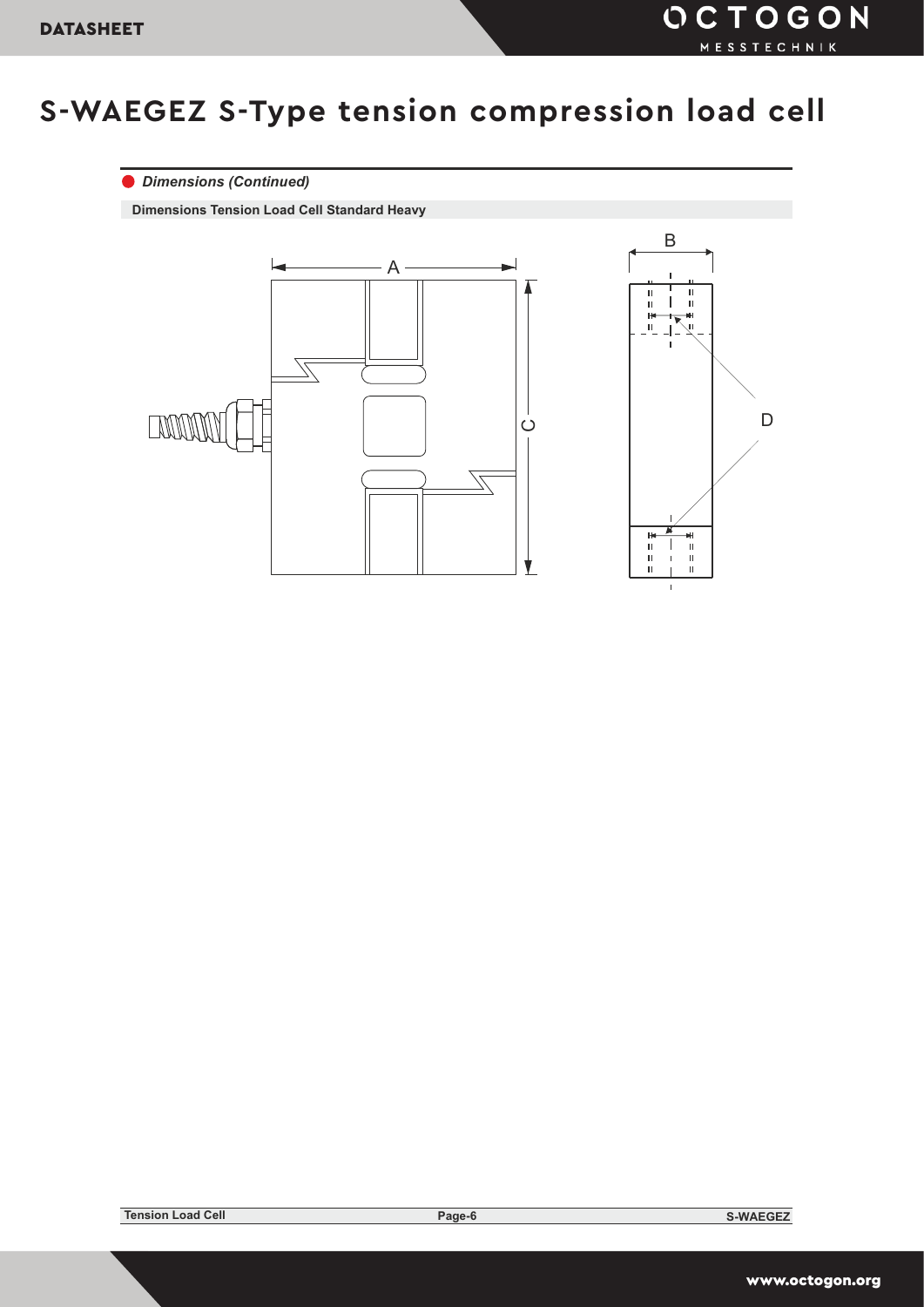### *Dimensions (Continued)*

**Dimensions Tension Load Cell Standard Heavy**

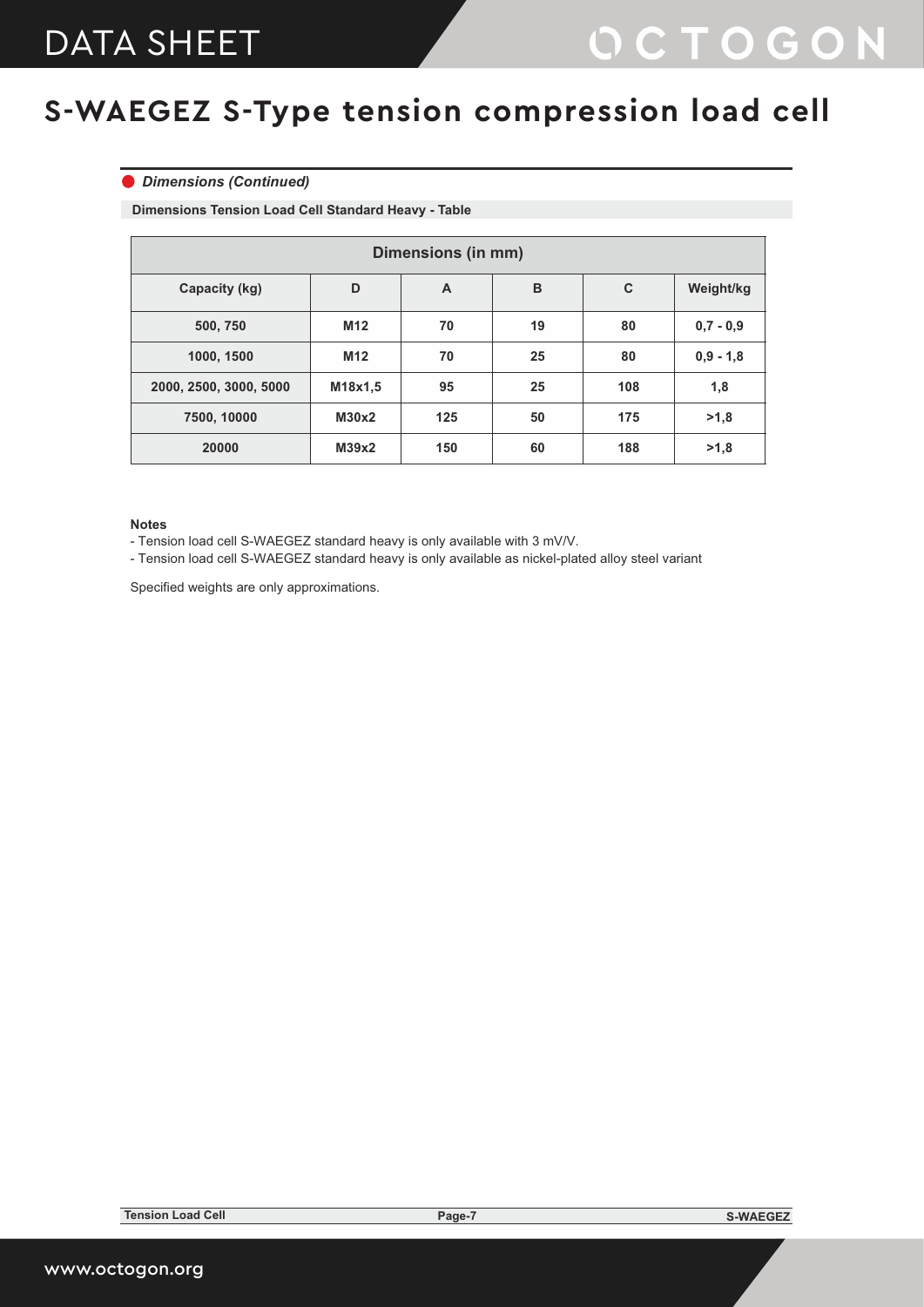#### *Dimensions (Continued)*

**Dimensions Tension Load Cell Standard Heavy - Table**

| <b>Dimensions (in mm)</b> |                 |     |    |           |             |  |  |  |  |
|---------------------------|-----------------|-----|----|-----------|-------------|--|--|--|--|
| Capacity (kg)             | D               | A   | B  | Weight/kg |             |  |  |  |  |
| 500, 750                  | M <sub>12</sub> | 70  | 19 | 80        | $0.7 - 0.9$ |  |  |  |  |
| 1000, 1500                | M <sub>12</sub> | 70  | 25 | 80        | $0,9 - 1,8$ |  |  |  |  |
| 2000, 2500, 3000, 5000    | M18x1,5         | 95  | 25 | 108       | 1,8         |  |  |  |  |
| 7500, 10000               | M30x2           | 125 | 50 | 175       | >1,8        |  |  |  |  |
| 20000                     | M39x2           | 150 | 60 | 188       | >1,8        |  |  |  |  |

#### **Notes**

- Tension load cell S-WAEGEZ standard heavy is only available with 3 mV/V.

- Tension load cell S-WAEGEZ standard heavy is only available as nickel-plated alloy steel variant

Specified weights are only approximations.